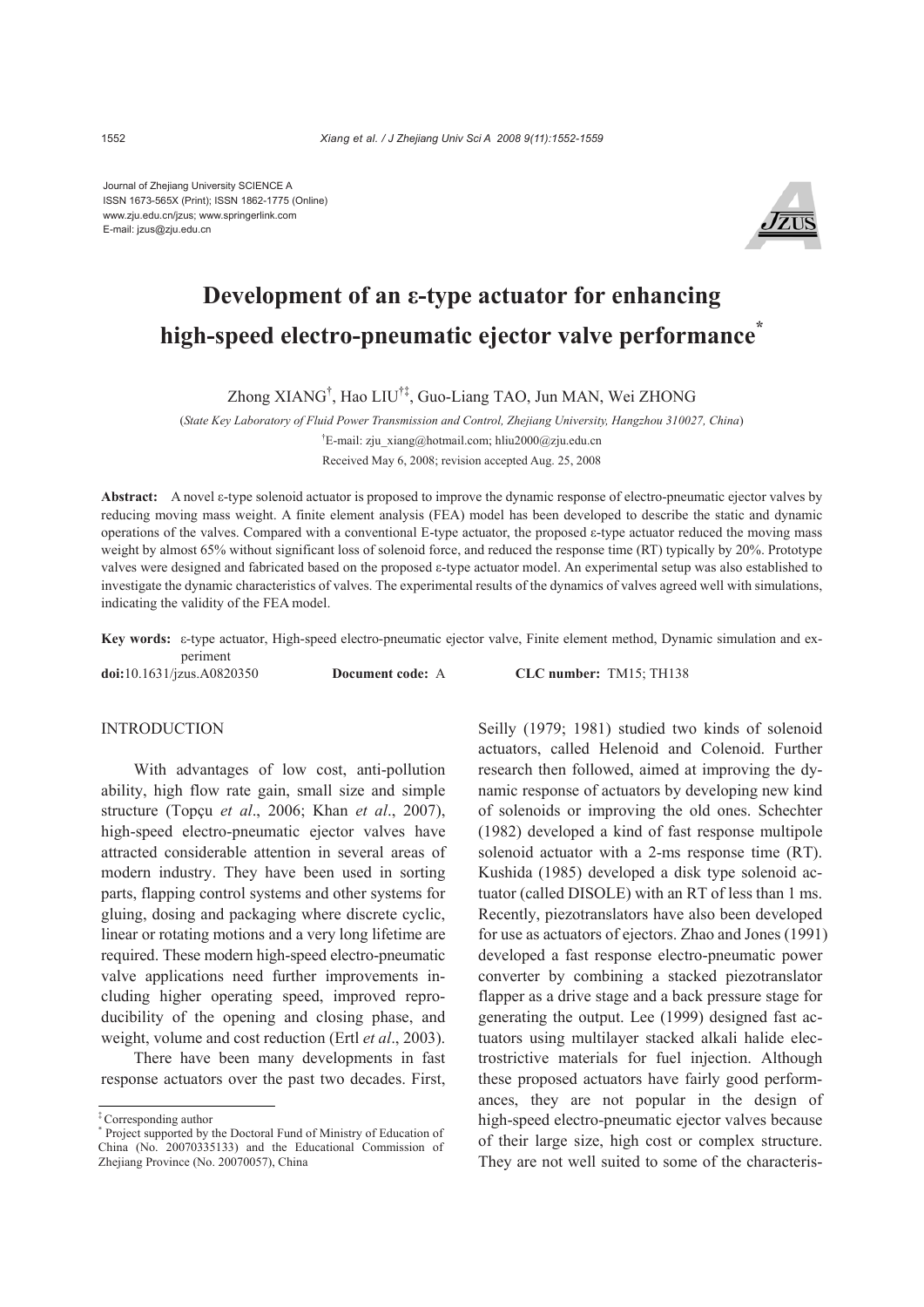Journal of Zhejiang University SCIENCE A ISSN 1673-565X (Print); ISSN 1862-1775 (Online) www.zju.edu.cn/jzus; www.springerlink.com E-mail: jzus@zju.edu.cn



# **Development of an ε-type actuator for enhancing high-speed electro-pneumatic ejector valve performance\***

Zhong XIANG† , Hao LIU†‡, Guo-Liang TAO, Jun MAN, Wei ZHONG

(*State Key Laboratory of Fluid Power Transmission and Control, Zhejiang University, Hangzhou 310027, China*)

† E-mail: zju\_xiang@hotmail.com; hliu2000@zju.edu.cn Received May 6, 2008; revision accepted Aug. 25, 2008

**Abstract:** A novel ε-type solenoid actuator is proposed to improve the dynamic response of electro-pneumatic ejector valves by reducing moving mass weight. A finite element analysis (FEA) model has been developed to describe the static and dynamic operations of the valves. Compared with a conventional E-type actuator, the proposed  $\varepsilon$ -type actuator reduced the moving mass weight by almost 65% without significant loss of solenoid force, and reduced the response time (RT) typically by 20%. Prototype valves were designed and fabricated based on the proposed ε-type actuator model. An experimental setup was also established to investigate the dynamic characteristics of valves. The experimental results of the dynamics of valves agreed well with simulations, indicating the validity of the FEA model.

**Key words:** ε-type actuator, High-speed electro-pneumatic ejector valve, Finite element method, Dynamic simulation and experiment

**doi:**10.1631/jzus.A0820350 **Document code:** A **CLC number:** TM15; TH138

# **INTRODUCTION**

With advantages of low cost, anti-pollution ability, high flow rate gain, small size and simple structure (Topçu *et al*., 2006; Khan *et al*., 2007), high-speed electro-pneumatic ejector valves have attracted considerable attention in several areas of modern industry. They have been used in sorting parts, flapping control systems and other systems for gluing, dosing and packaging where discrete cyclic, linear or rotating motions and a very long lifetime are required. These modern high-speed electro-pneumatic valve applications need further improvements including higher operating speed, improved reproducibility of the opening and closing phase, and weight, volume and cost reduction (Ertl *et al*., 2003).

There have been many developments in fast response actuators over the past two decades. First,

Seilly (1979; 1981) studied two kinds of solenoid actuators, called Helenoid and Colenoid. Further research then followed, aimed at improving the dynamic response of actuators by developing new kind of solenoids or improving the old ones. Schechter (1982) developed a kind of fast response multipole solenoid actuator with a 2-ms response time (RT). Kushida (1985) developed a disk type solenoid actuator (called DISOLE) with an RT of less than 1 ms. Recently, piezotranslators have also been developed for use as actuators of ejectors. Zhao and Jones (1991) developed a fast response electro-pneumatic power converter by combining a stacked piezotranslator flapper as a drive stage and a back pressure stage for generating the output. Lee (1999) designed fast actuators using multilayer stacked alkali halide electrostrictive materials for fuel injection. Although these proposed actuators have fairly good performances, they are not popular in the design of high-speed electro-pneumatic ejector valves because of their large size, high cost or complex structure. They are not well suited to some of the characteris-

<sup>‡</sup> Corresponding author

<sup>\*</sup> Project supported by the Doctoral Fund of Ministry of Education of China (No. 20070335133) and the Educational Commission of Zhejiang Province (No. 20070057), China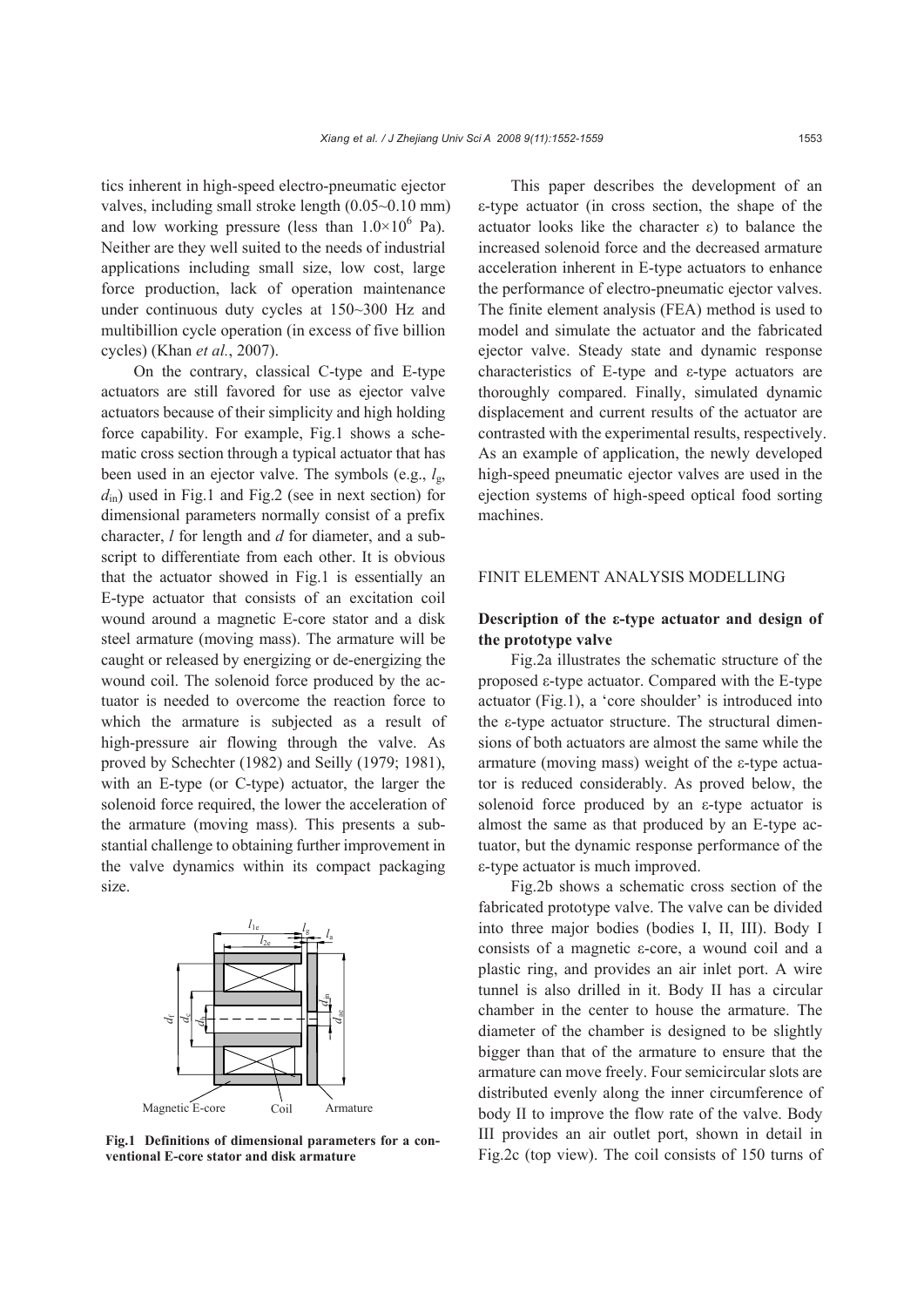tics inherent in high-speed electro-pneumatic ejector valves, including small stroke length (0.05~0.10 mm) and low working pressure (less than  $1.0 \times 10^6$  Pa). Neither are they well suited to the needs of industrial applications including small size, low cost, large force production, lack of operation maintenance under continuous duty cycles at 150~300 Hz and multibillion cycle operation (in excess of five billion cycles) (Khan *et al.*, 2007).

On the contrary, classical C-type and E-type actuators are still favored for use as ejector valve actuators because of their simplicity and high holding force capability. For example, Fig.1 shows a schematic cross section through a typical actuator that has been used in an ejector valve. The symbols (e.g., *l*g, *d*in) used in Fig.1 and Fig.2 (see in next section) for dimensional parameters normally consist of a prefix character, *l* for length and *d* for diameter, and a subscript to differentiate from each other. It is obvious that the actuator showed in Fig.1 is essentially an E-type actuator that consists of an excitation coil wound around a magnetic E-core stator and a disk steel armature (moving mass). The armature will be caught or released by energizing or de-energizing the wound coil. The solenoid force produced by the actuator is needed to overcome the reaction force to which the armature is subjected as a result of high-pressure air flowing through the valve. As proved by Schechter (1982) and Seilly (1979; 1981), with an E-type (or C-type) actuator, the larger the solenoid force required, the lower the acceleration of the armature (moving mass). This presents a substantial challenge to obtaining further improvement in the valve dynamics within its compact packaging size.



**Fig.1 Definitions of dimensional parameters for a conventional E-core stator and disk armature** 

This paper describes the development of an ε-type actuator (in cross section, the shape of the actuator looks like the character ε) to balance the increased solenoid force and the decreased armature acceleration inherent in E-type actuators to enhance the performance of electro-pneumatic ejector valves. The finite element analysis (FEA) method is used to model and simulate the actuator and the fabricated ejector valve. Steady state and dynamic response characteristics of E-type and ε-type actuators are thoroughly compared. Finally, simulated dynamic displacement and current results of the actuator are contrasted with the experimental results, respectively. As an example of application, the newly developed high-speed pneumatic ejector valves are used in the ejection systems of high-speed optical food sorting machines.

# FINIT ELEMENT ANALYSIS MODELLING

# **Description of the ε-type actuator and design of the prototype valve**

Fig.2a illustrates the schematic structure of the proposed ε-type actuator. Compared with the E-type actuator (Fig.1), a 'core shoulder' is introduced into the ε-type actuator structure. The structural dimensions of both actuators are almost the same while the armature (moving mass) weight of the ε-type actuator is reduced considerably. As proved below, the solenoid force produced by an ε-type actuator is almost the same as that produced by an E-type actuator, but the dynamic response performance of the ε-type actuator is much improved.

Fig.2b shows a schematic cross section of the fabricated prototype valve. The valve can be divided into three major bodies (bodies I, II, III). Body I consists of a magnetic ε-core, a wound coil and a plastic ring, and provides an air inlet port. A wire tunnel is also drilled in it. Body II has a circular chamber in the center to house the armature. The diameter of the chamber is designed to be slightly bigger than that of the armature to ensure that the armature can move freely. Four semicircular slots are distributed evenly along the inner circumference of body II to improve the flow rate of the valve. Body III provides an air outlet port, shown in detail in Fig.2c (top view). The coil consists of 150 turns of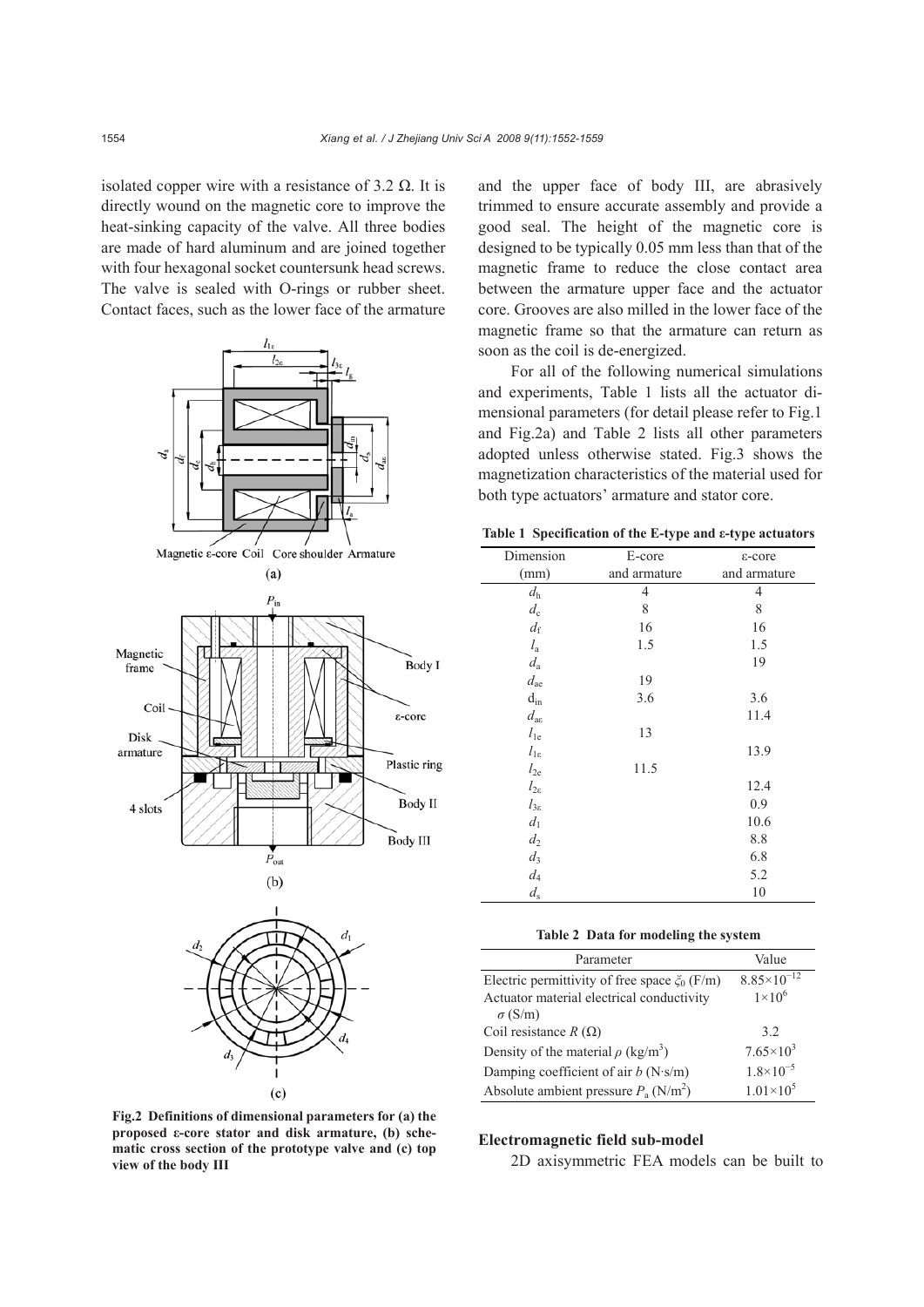isolated copper wire with a resistance of 3.2  $Ω$ . It is directly wound on the magnetic core to improve the heat-sinking capacity of the valve. All three bodies are made of hard aluminum and are joined together with four hexagonal socket countersunk head screws. The valve is sealed with O-rings or rubber sheet. Contact faces, such as the lower face of the armature





**Fig.2 Definitions of dimensional parameters for (a) the proposed ε-core stator and disk armature, (b) schematic cross section of the prototype valve and (c) top view of the body III** 

and the upper face of body III, are abrasively trimmed to ensure accurate assembly and provide a good seal. The height of the magnetic core is designed to be typically 0.05 mm less than that of the magnetic frame to reduce the close contact area between the armature upper face and the actuator core. Grooves are also milled in the lower face of the magnetic frame so that the armature can return as soon as the coil is de-energized.

For all of the following numerical simulations and experiments, Table 1 lists all the actuator dimensional parameters (for detail please refer to Fig.1 and Fig.2a) and Table 2 lists all other parameters adopted unless otherwise stated. Fig.3 shows the magnetization characteristics of the material used for both type actuators' armature and stator core.

**Table 1 Specification of the E-type and ε-type actuators**

| Dimension             | E-core       | ε-core       |
|-----------------------|--------------|--------------|
| (mm)                  | and armature | and armature |
| $d_{\rm h}$           | 4            | 4            |
| $d_{\rm c}$           | $\,$ 8 $\,$  | 8            |
| $d_{\rm f}$           | 16           | 16           |
| $l_{\rm a}$           | 1.5          | 1.5          |
| $d_{\rm a}$           |              | 19           |
| $d_{\text{ae}}$       | 19           |              |
| $\mathbf{d}_{\rm in}$ | 3.6          | 3.6          |
| $d_{\rm ac}$          |              | 11.4         |
| $l_{1e}$              | 13           |              |
| $l_{1\epsilon}$       |              | 13.9         |
| $l_{2e}$              | 11.5         |              |
| $l_{2\varepsilon}$    |              | 12.4         |
| $l_{3\varepsilon}$    |              | 0.9          |
| $d_1$                 |              | 10.6         |
| $d_2$                 |              | 8.8          |
| $d_3$                 |              | 6.8          |
| $\mathfrak{d}_4$      |              | 5.2          |
| $d_{\rm s}$           |              | 10           |

| Parameter                                           | Value                  |
|-----------------------------------------------------|------------------------|
| Electric permittivity of free space $\zeta_0$ (F/m) | $8.85 \times 10^{-12}$ |
| Actuator material electrical conductivity           | $1\times10^6$          |
| $\sigma$ (S/m)                                      |                        |
| Coil resistance $R(\Omega)$                         | 32                     |
| Density of the material $\rho$ (kg/m <sup>3</sup> ) | $7.65 \times 10^3$     |
| Damping coefficient of air $b$ (N·s/m)              | $1.8 \times 10^{-5}$   |
| Absolute ambient pressure $P_a$ (N/m <sup>2</sup> ) | $1.01 \times 10^5$     |

## **Electromagnetic field sub-model**

2D axisymmetric FEA models can be built to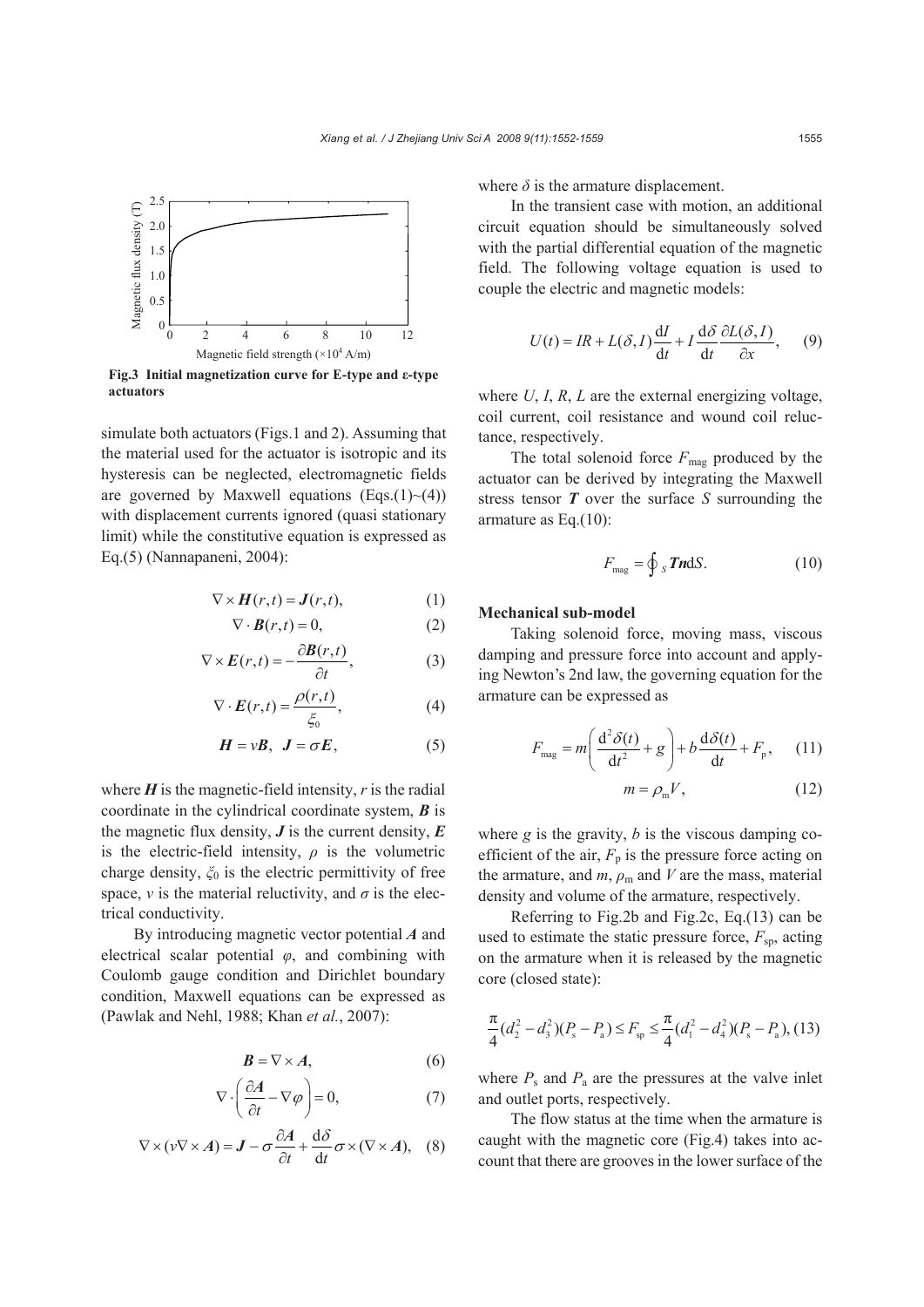

**Fig.3 Initial magnetization curve for E-type and ε-type actuators** 

simulate both actuators (Figs.1 and 2). Assuming that the material used for the actuator is isotropic and its hysteresis can be neglected, electromagnetic fields are governed by Maxwell equations  $(Eqs.(1)~(4))$ with displacement currents ignored (quasi stationary limit) while the constitutive equation is expressed as Eq.(5) (Nannapaneni, 2004):

$$
\nabla \times \boldsymbol{H}(r,t) = \boldsymbol{J}(r,t),\tag{1}
$$

$$
\nabla \cdot \boldsymbol{B}(r,t) = 0, \tag{2}
$$

$$
\nabla \times \boldsymbol{E}(r,t) = -\frac{\partial \boldsymbol{B}(r,t)}{\partial t},\tag{3}
$$

$$
\nabla \cdot \boldsymbol{E}(r,t) = \frac{\rho(r,t)}{\xi_0},\tag{4}
$$

$$
H = vB, J = \sigma E, \tag{5}
$$

where  $H$  is the magnetic-field intensity,  $r$  is the radial coordinate in the cylindrical coordinate system, *B* is the magnetic flux density,  $\boldsymbol{J}$  is the current density,  $\boldsymbol{E}$ is the electric-field intensity,  $\rho$  is the volumetric charge density, *ξ*0 is the electric permittivity of free space, *v* is the material reluctivity, and  $\sigma$  is the electrical conductivity.

By introducing magnetic vector potential *A* and electrical scalar potential *φ*, and combining with Coulomb gauge condition and Dirichlet boundary condition, Maxwell equations can be expressed as (Pawlak and Nehl, 1988; Khan *et al.*, 2007):

$$
B = \nabla \times A,\tag{6}
$$

$$
\nabla \cdot \left(\frac{\partial A}{\partial t} - \nabla \varphi\right) = 0,\tag{7}
$$

$$
\nabla \times (\nu \nabla \times A) = \mathbf{J} - \sigma \frac{\partial A}{\partial t} + \frac{\mathrm{d}\delta}{\mathrm{d}t} \sigma \times (\nabla \times A), \quad (8)
$$

where  $\delta$  is the armature displacement.

In the transient case with motion, an additional circuit equation should be simultaneously solved with the partial differential equation of the magnetic field. The following voltage equation is used to couple the electric and magnetic models:

$$
U(t) = IR + L(\delta, I)\frac{dI}{dt} + I\frac{d\delta}{dt}\frac{\partial L(\delta, I)}{\partial x}, \quad (9)
$$

where *U*, *I*, *R*, *L* are the external energizing voltage, coil current, coil resistance and wound coil reluctance, respectively.

The total solenoid force  $F_{\text{mag}}$  produced by the actuator can be derived by integrating the Maxwell stress tensor *T* over the surface *S* surrounding the armature as Eq.(10):

$$
F_{\text{mag}} = \oint_{S} \mathbf{J} \mathbf{n} \, \mathrm{d} S. \tag{10}
$$

#### **Mechanical sub-model**

Taking solenoid force, moving mass, viscous damping and pressure force into account and applying Newton's 2nd law, the governing equation for the armature can be expressed as

$$
F_{\text{mag}} = m \left( \frac{d^2 \delta(t)}{dt^2} + g \right) + b \frac{d \delta(t)}{dt} + F_{\text{p}}, \qquad (11)
$$

$$
m = \rho_{\text{m}} V, \qquad (12)
$$

where  $g$  is the gravity,  $b$  is the viscous damping coefficient of the air,  $F_p$  is the pressure force acting on the armature, and  $m$ ,  $\rho$ <sub>m</sub> and  $V$  are the mass, material density and volume of the armature, respectively.

Referring to Fig.2b and Fig.2c, Eq.(13) can be used to estimate the static pressure force,  $F_{\rm sp}$ , acting on the armature when it is released by the magnetic core (closed state):

$$
\frac{\pi}{4}(d_2^2 - d_3^2)(P_s - P_a) \le F_{sp} \le \frac{\pi}{4}(d_1^2 - d_4^2)(P_s - P_a),
$$
 (13)

where  $P_s$  and  $P_a$  are the pressures at the valve inlet and outlet ports, respectively.

The flow status at the time when the armature is caught with the magnetic core (Fig.4) takes into account that there are grooves in the lower surface of the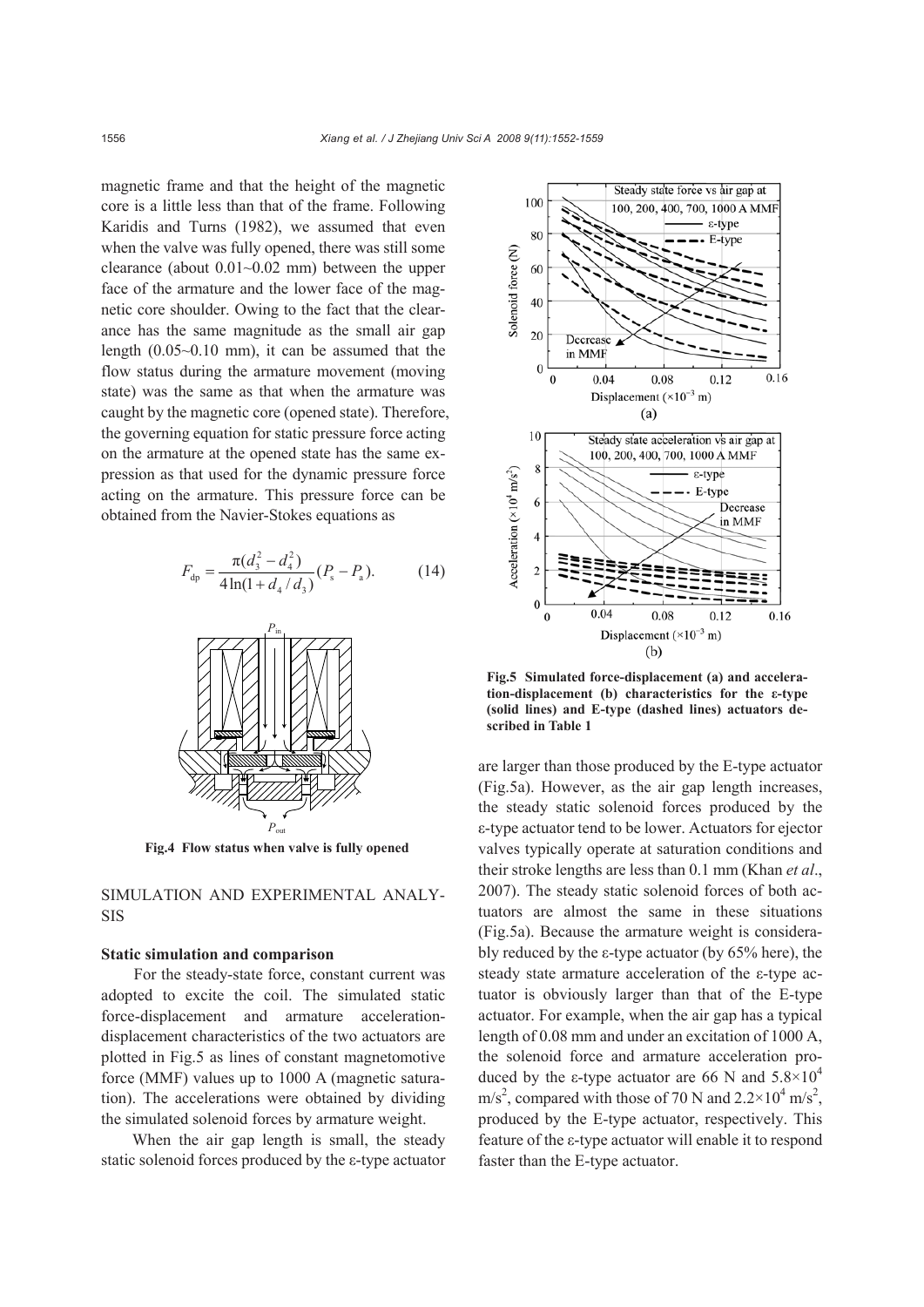magnetic frame and that the height of the magnetic core is a little less than that of the frame. Following Karidis and Turns (1982), we assumed that even when the valve was fully opened, there was still some clearance (about  $0.01~0.02$  mm) between the upper face of the armature and the lower face of the magnetic core shoulder. Owing to the fact that the clearance has the same magnitude as the small air gap length (0.05~0.10 mm), it can be assumed that the flow status during the armature movement (moving state) was the same as that when the armature was caught by the magnetic core (opened state). Therefore, the governing equation for static pressure force acting on the armature at the opened state has the same expression as that used for the dynamic pressure force acting on the armature. This pressure force can be obtained from the Navier-Stokes equations as

$$
F_{dp} = \frac{\pi (d_3^2 - d_4^2)}{4 \ln(1 + d_4 / d_3)} (P_s - P_a). \tag{14}
$$



**Fig.4 Flow status when valve is fully opened**

SIMULATION AND EXPERIMENTAL ANALY-SIS

#### **Static simulation and comparison**

For the steady-state force, constant current was adopted to excite the coil. The simulated static force-displacement and armature accelerationdisplacement characteristics of the two actuators are plotted in Fig.5 as lines of constant magnetomotive force (MMF) values up to 1000 A (magnetic saturation). The accelerations were obtained by dividing the simulated solenoid forces by armature weight.

When the air gap length is small, the steady static solenoid forces produced by the ε-type actuator



**Fig.5 Simulated force-displacement (a) and acceleration-displacement (b) characteristics for the ε-type (solid lines) and E-type (dashed lines) actuators described in Table 1** 

are larger than those produced by the E-type actuator (Fig.5a). However, as the air gap length increases, the steady static solenoid forces produced by the ε-type actuator tend to be lower. Actuators for ejector valves typically operate at saturation conditions and their stroke lengths are less than 0.1 mm (Khan *et al*., 2007). The steady static solenoid forces of both actuators are almost the same in these situations (Fig.5a). Because the armature weight is considerably reduced by the ε-type actuator (by 65% here), the steady state armature acceleration of the ε-type actuator is obviously larger than that of the E-type actuator. For example, when the air gap has a typical length of 0.08 mm and under an excitation of 1000 A, the solenoid force and armature acceleration produced by the ε-type actuator are 66 N and  $5.8 \times 10^4$ m/s<sup>2</sup>, compared with those of 70 N and  $2.2 \times 10^4$  m/s<sup>2</sup>, produced by the E-type actuator, respectively. This feature of the ε-type actuator will enable it to respond faster than the E-type actuator.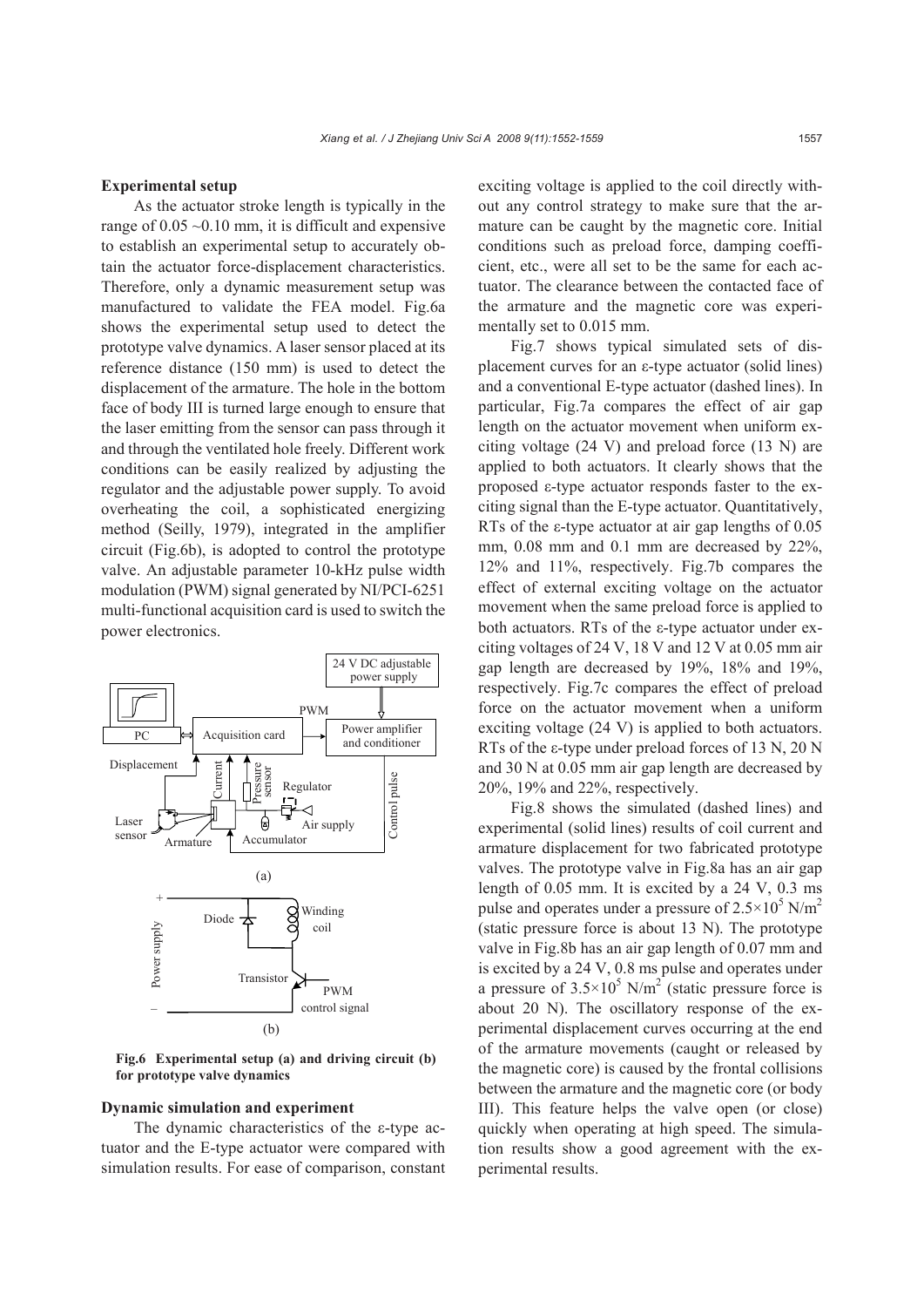#### **Experimental setup**

As the actuator stroke length is typically in the range of  $0.05 \sim 0.10$  mm, it is difficult and expensive to establish an experimental setup to accurately obtain the actuator force-displacement characteristics. Therefore, only a dynamic measurement setup was manufactured to validate the FEA model. Fig.6a shows the experimental setup used to detect the prototype valve dynamics. A laser sensor placed at its reference distance (150 mm) is used to detect the displacement of the armature. The hole in the bottom face of body III is turned large enough to ensure that the laser emitting from the sensor can pass through it and through the ventilated hole freely. Different work conditions can be easily realized by adjusting the regulator and the adjustable power supply. To avoid overheating the coil, a sophisticated energizing method (Seilly, 1979), integrated in the amplifier circuit (Fig.6b), is adopted to control the prototype valve. An adjustable parameter 10-kHz pulse width modulation (PWM) signal generated by NI/PCI-6251 multi-functional acquisition card is used to switch the power electronics.



**Fig.6 Experimental setup (a) and driving circuit (b) for prototype valve dynamics**

### **Dynamic simulation and experiment**

The dynamic characteristics of the ε-type actuator and the E-type actuator were compared with simulation results. For ease of comparison, constant exciting voltage is applied to the coil directly without any control strategy to make sure that the armature can be caught by the magnetic core. Initial conditions such as preload force, damping coefficient, etc., were all set to be the same for each actuator. The clearance between the contacted face of the armature and the magnetic core was experimentally set to 0.015 mm.

Fig.7 shows typical simulated sets of displacement curves for an ε-type actuator (solid lines) and a conventional E-type actuator (dashed lines). In particular, Fig.7a compares the effect of air gap length on the actuator movement when uniform exciting voltage (24 V) and preload force (13 N) are applied to both actuators. It clearly shows that the proposed ε-type actuator responds faster to the exciting signal than the E-type actuator. Quantitatively, RTs of the ε-type actuator at air gap lengths of 0.05 mm,  $0.08$  mm and  $0.1$  mm are decreased by  $22\%$ , 12% and 11%, respectively. Fig.7b compares the effect of external exciting voltage on the actuator movement when the same preload force is applied to both actuators. RTs of the ε-type actuator under exciting voltages of 24 V, 18 V and 12 V at 0.05 mm air gap length are decreased by 19%, 18% and 19%, respectively. Fig.7c compares the effect of preload force on the actuator movement when a uniform exciting voltage (24 V) is applied to both actuators. RTs of the ε-type under preload forces of 13 N, 20 N and 30 N at 0.05 mm air gap length are decreased by 20%, 19% and 22%, respectively.

Fig.8 shows the simulated (dashed lines) and experimental (solid lines) results of coil current and armature displacement for two fabricated prototype valves. The prototype valve in Fig.8a has an air gap length of 0.05 mm. It is excited by a 24 V, 0.3 ms pulse and operates under a pressure of  $2.5 \times 10^5$  N/m<sup>2</sup> (static pressure force is about 13 N). The prototype valve in Fig.8b has an air gap length of 0.07 mm and is excited by a 24 V, 0.8 ms pulse and operates under a pressure of  $3.5 \times 10^5$  N/m<sup>2</sup> (static pressure force is about 20 N). The oscillatory response of the experimental displacement curves occurring at the end of the armature movements (caught or released by the magnetic core) is caused by the frontal collisions between the armature and the magnetic core (or body III). This feature helps the valve open (or close) quickly when operating at high speed. The simulation results show a good agreement with the experimental results.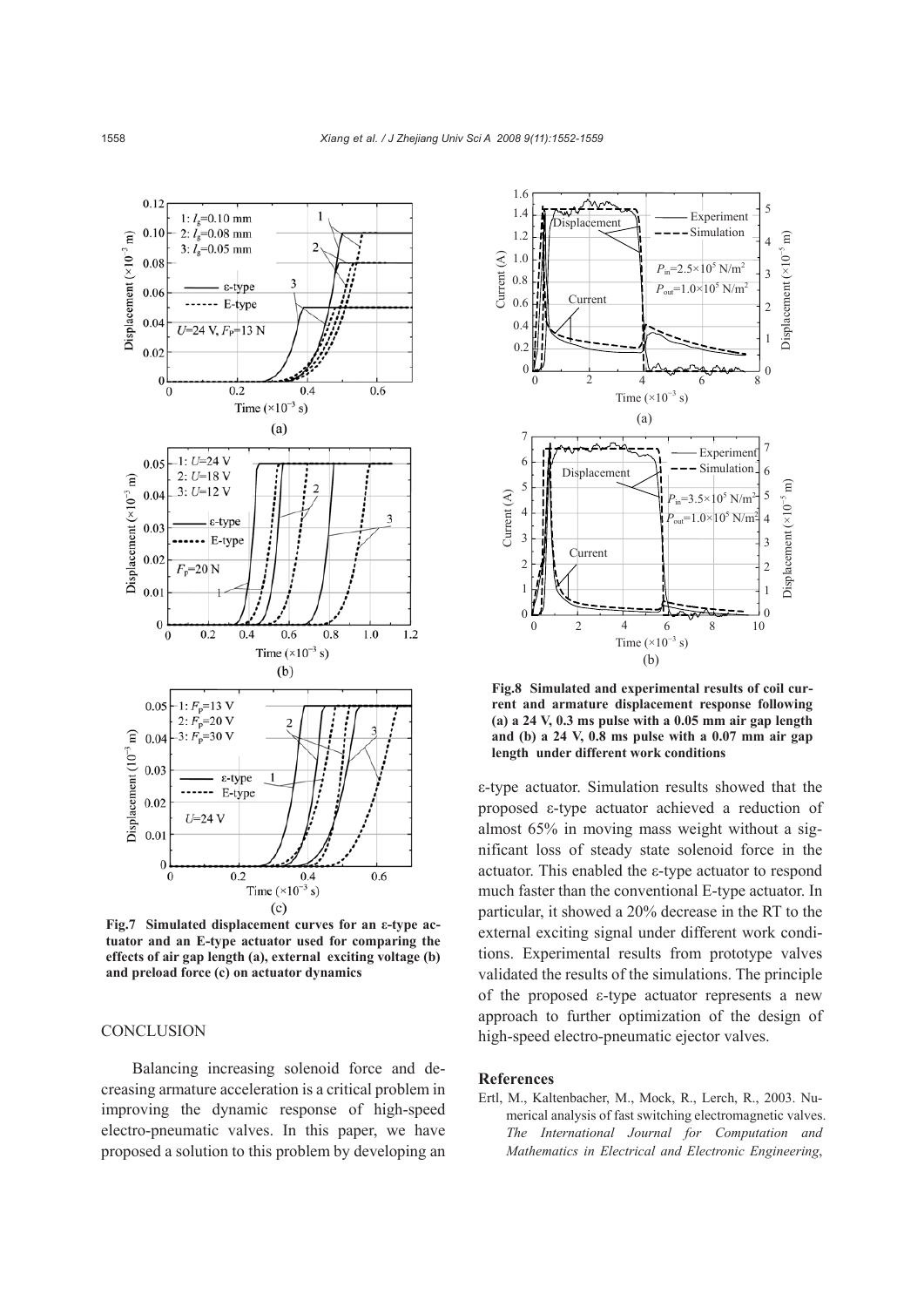

**Fig.7 Simulated displacement curves for an ε-type actuator and an E-type actuator used for comparing the effects of air gap length (a), external exciting voltage (b) and preload force (c) on actuator dynamics** 

# **CONCLUSION**

Balancing increasing solenoid force and decreasing armature acceleration is a critical problem in improving the dynamic response of high-speed electro-pneumatic valves. In this paper, we have proposed a solution to this problem by developing an



**Fig.8 Simulated and experimental results of coil current and armature displacement response following (a) a 24 V, 0.3 ms pulse with a 0.05 mm air gap length and (b) a 24 V, 0.8 ms pulse with a 0.07 mm air gap length under different work conditions** 

ε-type actuator. Simulation results showed that the proposed ε-type actuator achieved a reduction of almost 65% in moving mass weight without a significant loss of steady state solenoid force in the actuator. This enabled the ε-type actuator to respond much faster than the conventional E-type actuator. In particular, it showed a 20% decrease in the RT to the external exciting signal under different work conditions. Experimental results from prototype valves validated the results of the simulations. The principle of the proposed ε-type actuator represents a new approach to further optimization of the design of high-speed electro-pneumatic ejector valves.

#### **References**

Ertl, M., Kaltenbacher, M., Mock, R., Lerch, R., 2003. Numerical analysis of fast switching electromagnetic valves. *The International Journal for Computation and Mathematics in Electrical and Electronic Engineering*,